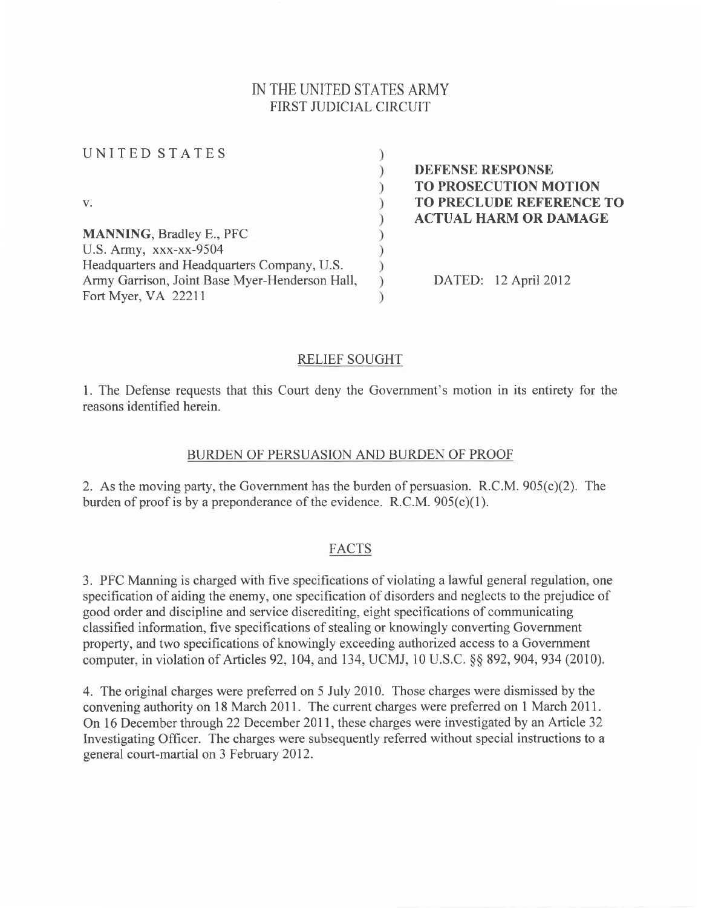# IN THE UNITED STATES ARMY FIRST JUDICIAL CIRCUIT

UNITED STATES  $\mathcal{E}$  $\mathcal{E}$ V.  $\lambda$ MANNING, Bradley E., PFC  $\mathcal{E}$ U.S. Army, xxx-xx-9504 Headquarters and Headquarters Company, U.S. Army Garrison, Joint Base Myer-Henderson Hall,  $\mathcal{E}$ Fort Myer, VA 22211

DEFENSE RESPONSE TO PROSECUTION MOTION TO PRECLUDE REFERENCE TO ACTUAL HARM OR DAMAGE

DATED: 12 April 2012

### RELIEF SOUGHT

1. The Defense requests that this Court deny the Government's motion in its entirety for the reasons identified herein.

### BURDEN OF PERSUASION AND BURDEN OF PROOF

2. As the moving party, the Government has the burden of persuasion. R.C.M. 905(c)(2). The burden of proof is by a preponderance of the evidence. R.C.M.  $905(c)(1)$ .

### FACTS

3. PFC Manning is charged with five specifications of violating a lawful general regulation, one specification of aiding the enemy, one specification of disorders and neglects to the prejudice of good order and discipline and service discrediting, eight specifications of communicating classified information, five specifications of stealing or knowingly converting Government property, and two specifications of knowingly exceeding authorized access to a Government computer, in violation of Articles 92, 104, and 134, UCMJ, 10 U.S.C. § § 892, 904, 934 (2010).

4. The original charges were preferred on 5 July 2010. Those charges were dismissed by the convening authority on 18 March 2011. The current charges were preferred on I March 201I. On 16 December through 22 December 2011, these charges were investigated by an Article 32 Investigating Officer. The charges were subsequently referred without special instructions to a general court-martial on 3 February 2012.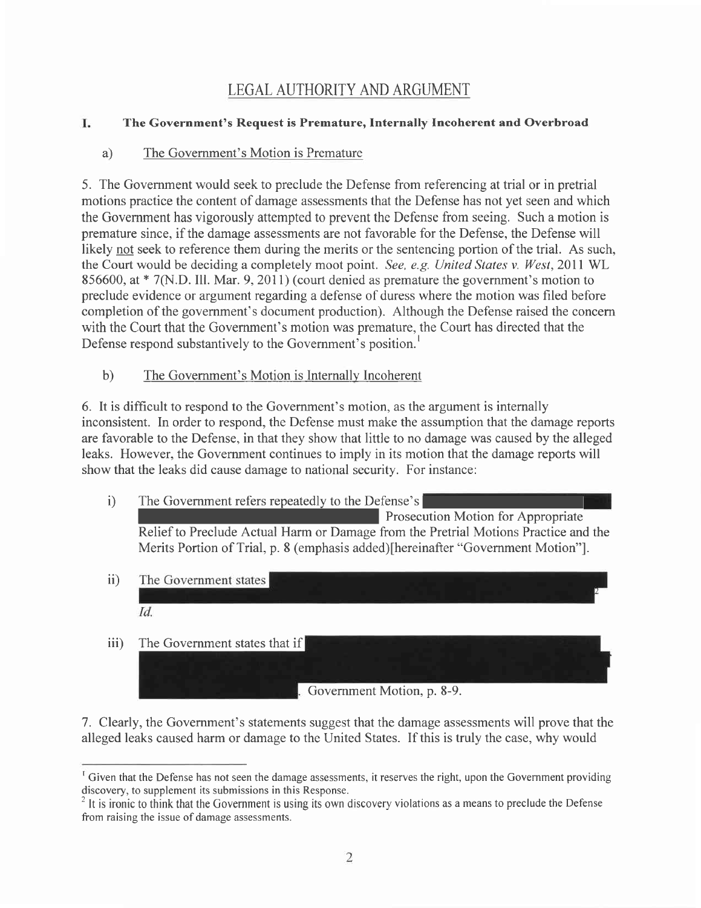# LEGAL AUTHORITY AND ARGUMENT

#### I. The Government's Request is Premature, Internally Incoherent and Overbroad

# a) The Government's Motion is Premature

5. The Government would seek to preclude the Defense from referencing at trial or in pretrial motions practice the content of damage assessments that the Defense has not yet seen and which the Govemment has vigorously attempted to prevent the Defense from seeing. Such a motion is premature since, if the damage assessments are not favorable for the Defense, the Defense will likely not seek to reference them during the merits or the sentencing portion of the trial. As such, the Court would be deciding a completely moot point. See, e.g. United States v. West, 2011 WL 856600, at \* 7(N.D. Ill. Mar. 9,2011) (court denied as premature the government's motion to preclude evidence or argument regarding a defense of duress where the motion was filed before completion of the government's document production). Although the Defense raised the concern with the Court that the Government's motion was premature, the Court has directed that the Defense respond substantively to the Govemment's position.'

b) The Government's Motion is Internallv Incoherent

6. It is difficult to respond to the Government's motion, as the argument is internally inconsistent. In order to respond, the Defense must make the assumption that the damage reports are favorable to the Defense, in that they show that little to no damage was caused by the alleged leaks. However, the Government continues to imply in its motion that the damage reports will show that the leaks did cause damage to national security. For instance:

- i) The Government refers repeatedly to the Defense's Prosecution Motion for Appropriate Relief to Preclude Actual Harm or Damage from the Pretrial Motions Practice and the Merits Portion of Trial, p. 8 (emphasis added)[hereinafter "Government Motion"].
- ii) The Government states Id. The Government states that if iii) Government Motion, p. 8-9.

7. Clearly, the Government's statements suggest that the damage assessments will prove that the alleged leaks caused harm or damage to the United States. If this is truly the case, why would

<sup>&</sup>lt;sup>T</sup> Given that the Defense has not seen the damage assessments, it reserves the right, upon the Government providing discovery, to supplement its submissions in this Response.

 $<sup>2</sup>$  It is ironic to think that the Government is using its own discovery violations as a means to preclude the Defense</sup> from raising the issue of damage assessments.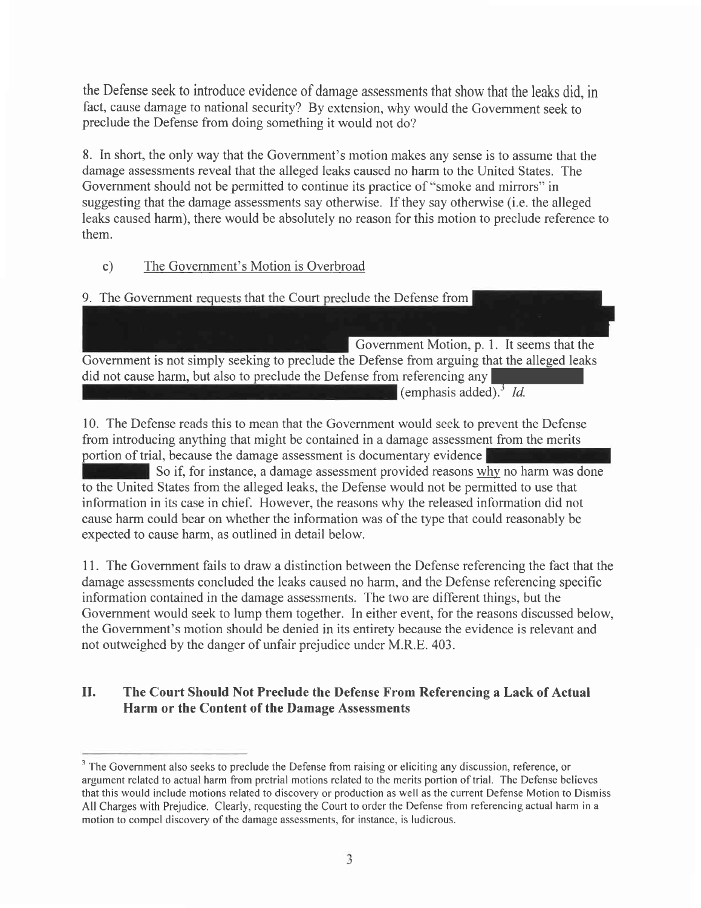the Defense seek to introduce evidence of damage assessments that show that the leaks did, in fact, cause damage to national security? By extension, why would the Government seek to preclude the Defense from doing something it would not do?

8. In short, the only way that the Government's motion makes any sense is to assume that the damage assessments reveal that the alleged leaks caused no harm to the United States. The Government should not be permitted to continue its practice of "smoke and mirrors" in suggesting that the damage assessments say otherwise. If they say otherwise (i.e. the alleged leaks caused harm), there would be absolutely no reason for this motion to preclude reference to them.

c) The Government's Motion is Overbroad

9. The Government requests that the Court preclude the Defense from

Government Motion, p. 1. It seems that the Government is not simply seeking to preclude the Defense from arguing that the alleged leaks did not cause harm, but also to preclude the Defense from referencing any (emphasis added).<sup>3</sup> Id.

10. The Defense reads this to mean that the Government would seek to prevent the Defense from introducing anything that might be contained in a damage assessment from the merits portion of trial, because the damage assessment is documentary evidence

So if, for instance, a damage assessment provided reasons why no harm was done to the United States from the alleged leaks, the Defense would not be permitted to use that information in its case in chief. However, the reasons why the released information did not cause harm could bear on whether the information was of the type that could reasonably be expected to cause harm, as outlined in detail below.

<sup>1</sup>1. The Government fails to draw a distinction between the Defense referencing the fact that the damage assessments concluded the leaks caused no harm, and the Defense referencing specific information contained in the damage assessments. The two are different things, but the Government would seek to lump them together. In either event, for the reasons discussed below, the Government's motion should be denied in its entirety because the evidence is relevant and not outweighed by the danger of unfair prejudice under M.R.E. 403.

#### The Court Should Not Preclude the Defense From Referencing a Lack of Actual Harm or the Content of the Damage Assessments II.

<sup>&</sup>lt;sup>3</sup> The Government also seeks to preclude the Defense from raising or eliciting any discussion, reference, or argument related to actual harm from pretrial motions related to the merits portion of trial. The Defense believes that this would include motions related to discovery or production as well as the current Defense Motion to Dismiss All Charges with Prejudice. Clearly, requesting the Court to order the Defense from referencing actual harm in a motion to compel discovery of the damage assessments, for instance, is ludicrous.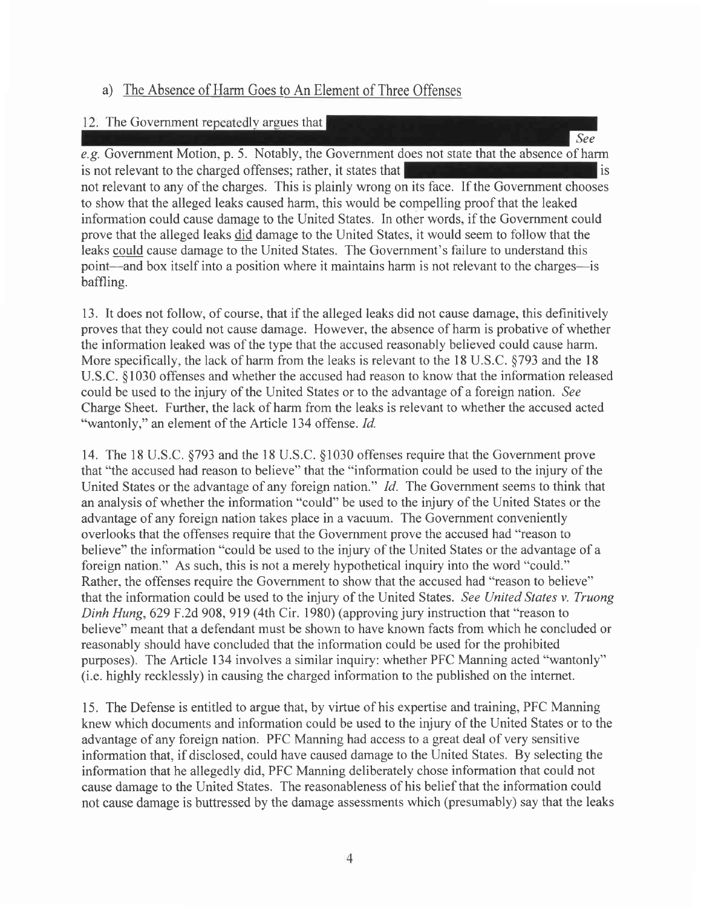# a) The Absence of Harm Goes to An Element of Three Offenses

## 12. The Government repeatedly argues that

See e.g. Government Motion, p. 5. Notably, the Government does not state that the absence of harm is not relevant to the charged offenses; rather, it states that is interested in the interest of is not relevant to any of the charges. This is plainly wrong on its face. If the Govemment chooses to show that the alleged leaks caused harm, this would be compelling proof that the leaked information could cause damage to the United States. In other words, if the Government could prove that the alleged leaks did damage to the United States, it would seem to follow that the leaks could cause damage to the United States. The Government's failure to understand this point-and box itself into a position where it maintains harm is not relevant to the charges-is baffling.

13. It does not follow, of course, that if the alleged leaks did not cause damage, this definitively proves that they could not cause damage. However, the absence of harm is probative of whether the information leaked was of the type that the accused reasonably believed could cause harm. More specifically, the lack of harm from the leaks is relevant to the 18 U.S.C.  $\S$ 793 and the 18 U.S.C. \$1030 offenses and whether the accused had reason to know that the information released could be used to the injury of the United States or to the advantage of a foreign nation. See Charge Sheet. Further, the lack of harm from the leaks is relevant to whether the accused acted "wantonly," an element of the Article 134 offense. *Id.* 

14. The 18 U.S.C. \$793 and the 18 U.S.C. \$1030 offenses require that the Government prove that "the accused had reason to believe" that the "information could be used to the injury of the United States or the advantage of any foreign nation." *Id.* The Government seems to think that an analysis of whether the information "could" be used to the injury of the United States or the advantage of any foreign nation takes place in a vacuum. The Government conveniently overlooks that the offenses require that the Government prove the accused had "reason to believe" the information "could be used to the injury of the United States or the advantage of a foreign nation." As such, this is not a merely hypothetical inquiry into the word "could." Rather, the offenses require the Government to show that the accused had "reason to believe" that the information could be used to the injury of the United States. See United States v. Truong Dinh Hung,629 F.2d 908, 919 (4th Cir. 1980) (approving jury instruction that "reason to believe" meant that a defendant must be shown to have known facts from which he concluded or reasonably should have concluded that the information could be used for the prohibited purposes). The Article 134 involves a similar inquiry: whether PFC Manning acted "wantonly" (i.e. highly recklessly) in causing the charged information to the published on the internet.

15. The Defense is entitled to argue that, by virtue of his expertise and training, PFC Manning knew which documents and information could be used to the injury of the United States or to the advantage of any foreign nation. PFC Manning had access to a great deal of very sensitive information that, if disclosed, could have caused damage to the United States. By selecting the information that he allegedly did, PFC Manning deliberately chose information that could not cause damage to the United States. The reasonableness of his belief that the information could not cause damage is buttressed by the damage assessments which (presumably) say that the leaks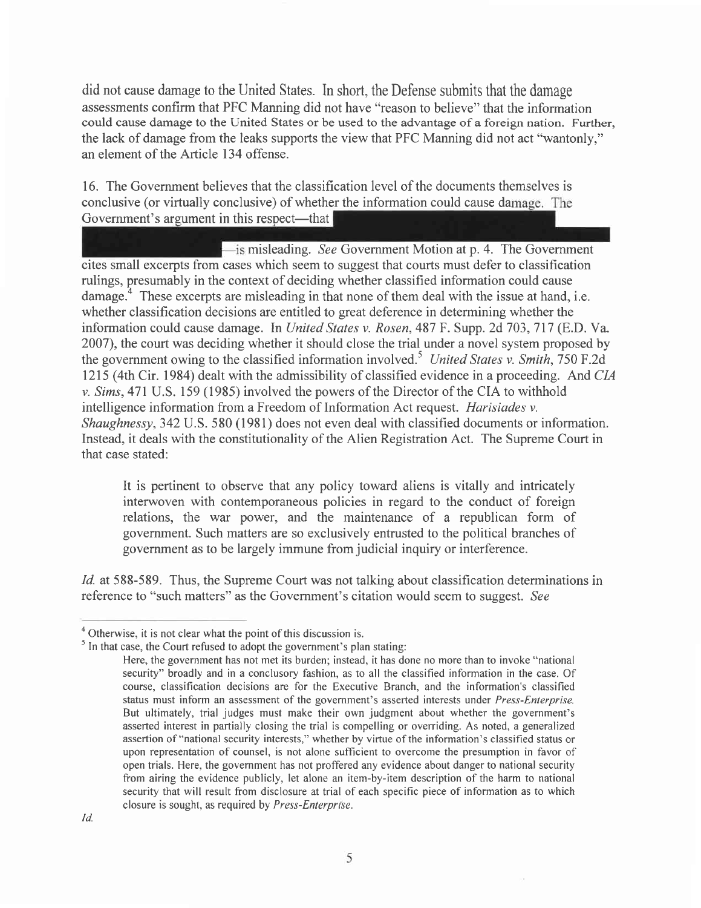did not cause damage to the United States. In short, the Defense submits that the damage assessments confirm that PFC Manning did not have "reason to believe" that the information could cause damage to the United States or be used to the advantage of a foreign nation. Further, the lack of damage from the leaks supports the view that PFC Manning did not act "wantonly," an element of the Article 134 offense.

## conclusive (or virtually conclusive) of whether the information could cause da Government's argument in this respect-that 16. The Government believes that the classification level of the documents themselves is

is misleading. See Government Motion at p. 4. The Government rulings, presumably in the context of deciding whether classified information could cause damage.<sup>4</sup> These excerpts are misleading in that none of them deal with the issue at hand, i.e. whether classification decisions are entitled to great deference in determining whether the information could cause damage. In United States v. Rosen, 487 F. Supp. 2d 703, 717 (E.D. Va. 2007), the court was deciding whether it should close the trial under a novel system proposed by the government owing to the classified information involved.<sup>5</sup> United States v. Smith, 750 F.2d 1215 (4th Cir. 1984) dealt with the admissibility of classified evidence in a proceeding. And CIA v. Sims,47l U.S. 159 (1985) involved the powers of the Director of the CIA to withhold intelligence information from a Freedom of Information Act request. Harisiades v. Shaughnessy,342 U.S. 580 (1981) does not even deal with classified documents or information. Instead, it deals with the constitutionality of the Alien Registration Act. The Supreme Court in that case stated: cites small excerpts from cases which seem to suggest that courts must defer to classification

It is pertinent to observe that any policy toward aliens is vitally and intricately interwoven with contemporaneous policies in regard to the conduct of foreign relations, the war power, and the maintenance of a republican form of government. Such matters are so exclusively entrusted to the political branches of government as to be largely immune from judicial inquiry or interference.

Id. at 588-589. Thus, the Supreme Court was not talking about classification determinations in reference to "such matters" as the Government's citation would seem to suggest. See

 $<sup>4</sup>$  Otherwise, it is not clear what the point of this discussion is.</sup>

 $<sup>5</sup>$  In that case, the Court refused to adopt the government's plan stating:</sup>

Here, the government has not met its burden; instead, it has done no more than to invoke "national security" broadly and in a conclusory fashion, as to all the classified information in the case. Of course, classification decisions are for the Executive Branch, and the information's classified status must inform an assessment of the government's asserted interests under Press-Enterprise. But ultimately, trial judges must make their own judgment about whether the govemment's asserted interest in partially closing the trial is compelling or overriding. As noted, a generalized assertion of "national security interests," whether by virtue of the information's classified status or upon representation of counsel, is not alone sufficient to overcome the presumption in favor of open trials. Here, the govemment has not proffered any evidence about danger to national security from airing the evidence publicly, let alone an item-by-item description of the harm to national security that will result from disclosure at trial of each specific piece of information as to which closure is sought, as required by *Press-Enterprise*.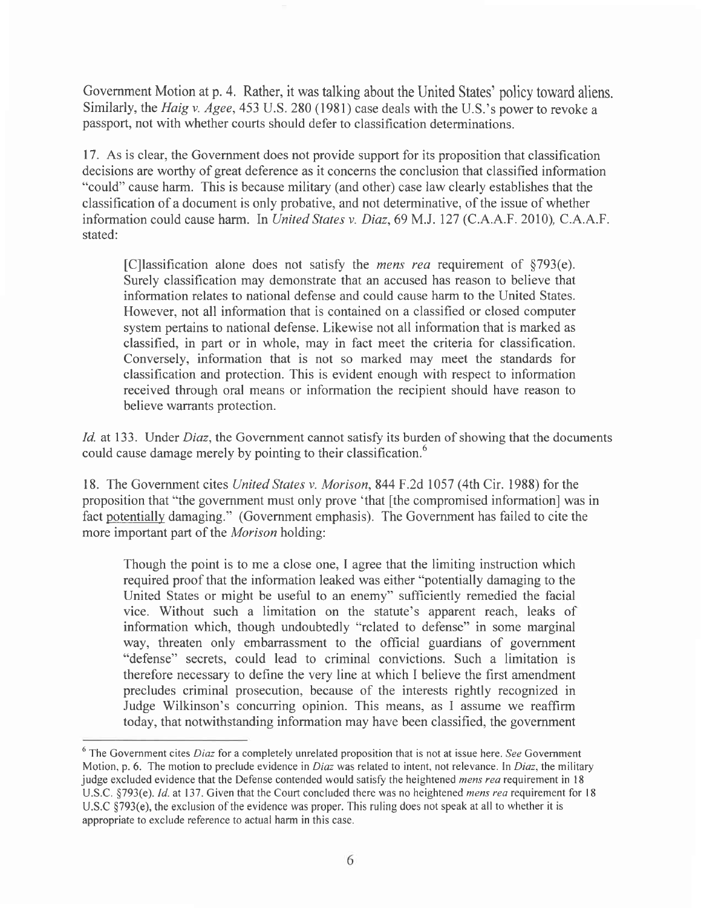Government Motion at p. 4. Rather, it was talking about the United States' policy toward aliens. Similarly, the *Haig v. Agee*, 453 U.S. 280 (1981) case deals with the U.S.'s power to revoke a passport, not with whether courts should defer to classification determinations.

17. As is clear, the Government does not provide support for its proposition that classification decisions are worthy of great deference as it concerns the conclusion that classified information "could" cause harm. This is because military (and other) case law clearly establishes that the classification of a document is only probative, and not determinative, of the issue of whether information could cause harm. In United States v. Diaz, 69 M.J. 127 (C.A.A.F. 2010), C.A.A.F. stated:

[C]lassification alone does not satisfy the mens rea requirement of \$793(e). Surely classification may demonstrate that an accused has reason to believe that information relates to national defense and could cause harm to the United States. However, not all information that is contained on a classified or closed computer system pertains to national defense. Likewise not all information that is marked as classified, in part or in whole, may in fact meet the criteria for classification. Conversely, information that is not so marked may meet the standards for classification and protection. This is evident enough with respect to information received through oral means or information the recipient should have reason to believe warrants protection.

Id. at 133. Under Diaz, the Government cannot satisfy its burden of showing that the documents could cause damage merely by pointing to their classification.<sup>6</sup>

18. The Government cites United States v. Morison, 844 F .2d 1057 (4th Cir. 1988) for the proposition that "the government must only prove 'that [the compromised information] was in fact potentially damaging." (Government emphasis). The Government has failed to cite the more important part of the Morison holding:

Though the point is to me a close one, I agree that the limiting instruction which required proof that the information leaked was either "potentially damaging to the United States or might be useful to an enemy" sufficiently remedied the facial vice. Without such a limitation on the statute's apparent reach, leaks of information which, though undoubtedly "related to defense" in some marginal way, threaten only embarrassment to the official guardians of government "defense" secrets, could lead to criminal convictions. Such a limitation is therefore necessary to define the very line at which I believe the first amendment precludes criminal prosecution, because of the interests rightly recognized in Judge Wilkinson's concurring opinion. This means, as I assume we reaffirm today, that notwithstanding information may have been classified, the government

 $6$  The Government cites *Diaz* for a completely unrelated proposition that is not at issue here. See Government Motion, p. 6. The motion to preclude evidence in *Diaz* was related to intent, not relevance. In *Diaz*, the military judge excluded evidence that the Defense contended would satisfy the heightened mens rea requirement in 18 U.S.C. §793(e). Id. at 137. Given that the Court concluded there was no heightened *mens rea* requirement for 18 U.S.C \$793(e), the exclusion of the evidence was proper. This ruling does not speak at all to whether it is appropriate to exclude reference to actual harm in this case.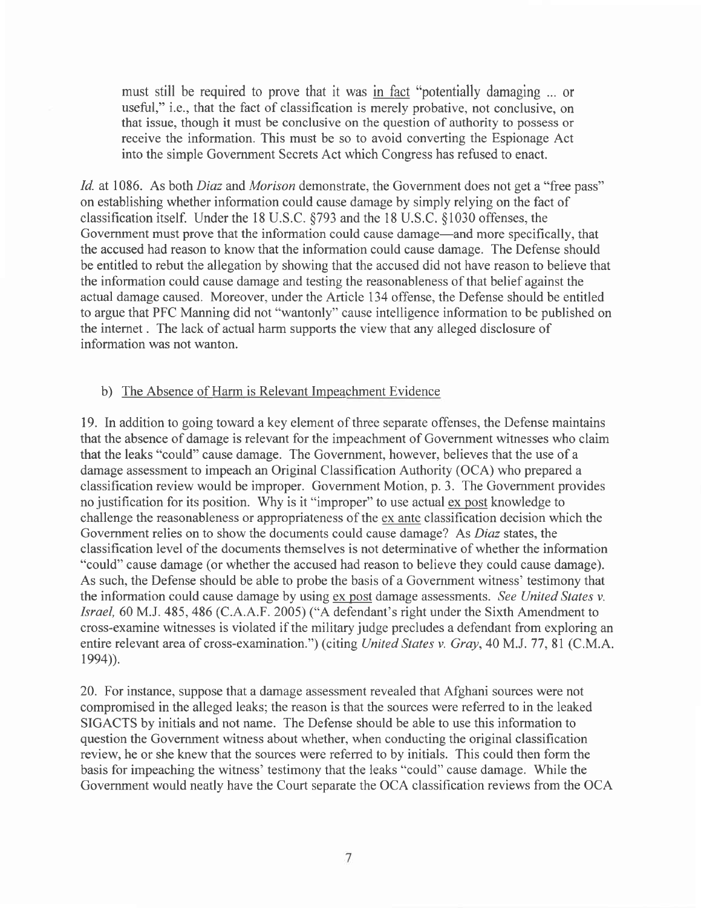must still be required to prove that it was in fact "potentially damaging ... or useful," i.e., that the fact of classification is merely probative, not conclusive, on that issue, though it must be conclusive on the question of authority to possess or receive the information. This must be so to avoid converting the Espionage Act into the simple Government Secrets Act which Congress has refused to enact.

Id. at 1086. As both *Diaz* and *Morison* demonstrate, the Government does not get a "free pass" on establishing whether information could cause damage by simply relying on the fact of classification itself. Under the 18 U.S.C. \$793 and the l8 U.S.C. \$1030 offenses, the Government must prove that the information could cause damage—and more specifically, that the accused had reason to know that the information could cause damage. The Defense should be entitled to rebut the allegation by showing that the accused did not have reason to believe that the information could cause damage and testing the reasonableness of that belief against the actual damage caused. Moreover, under the Article 134 offense, the Defense should be entitled to argue that PFC Manning did not "wantonly" cause intelligence information to be published on the internet . The lack of actual harm supports the view that any alleged disclosure of information was not wanton.

### b) The Absence of Harm is Relevant Impeachment Evidence

19. In addition to going toward a key element of three separate offenses, the Defense maintains that the absence of damage is relevant for the impeachment of Government witnesses who claim that the leaks "could" cause damage. The Government, however, believes that the use of a damage assessment to impeach an Original Classification Authority (OCA) who prepared a classification review would be improper. Government Motion, p. 3. The Government provides no justification for its position. Why is it "improper" to use actual ex post knowledge to challenge the reasonableness or appropriateness of the ex ante classification decision which the Government relies on to show the documents could cause damage? As Diaz states, the classification level of the documents themselves is not determinative of whether the information "could" cause damage (or whether the accused had reason to believe they could cause damage). As such, the Defense should be able to probe the basis of a Government witness' testimony that the information could cause damage by using ex post damage assessments. See United States v. Israel, 60 M.J. 485, 486 (C.A.A.F. 2005) ("A defendant's right under the Sixth Amendment to cross-examine witnesses is violated if the military judge precludes a defendant from exploring an entire relevant area of cross-examination.") (citing United States v. Gray, 40 M.J. 77, 81 (C.M.A.  $1994$ ).

20. For instance, suppose that a damage assessment revealed that Afghani sources were not compromised in the alleged leaks; the reason is that the sources were referred to in the leaked SIGACTS by initials and not name. The Defense should be able to use this information to question the Govemment witness about whether, when conducting the original classification review, he or she knew that the sources were referred to by initials. This could then form the basis for impeaching the witness' testimony that the leaks "could" cause damage. While the Government would neatly have the Court separate the OCA classification reviews from the OCA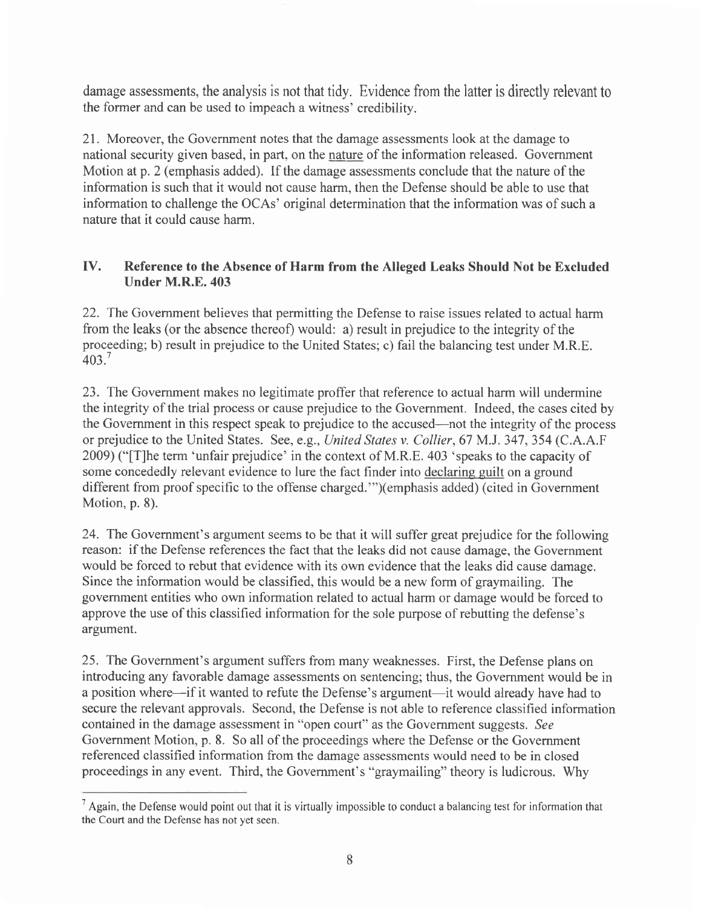damage assessments, the analysis is not that tidy. Evidence from the latter is directly relevant to the former and can be used to impeach a witness' credibility.

2l . Moreover, the Government notes that the damage assessments look at the damage to national security given based, in part, on the nature of the information released. Government Motion at p. 2 (emphasis added). If the damage assessments conclude that the nature of the information is such that it would not cause harm, then the Defense should be able to use that information to challenge the OCAs' original determination that the information was of such a nature that it could cause harm.

#### IV. Reference to the Absence of Harm from the Alleged Leaks Should Not be Excluded Under M.R.E.403

22. The Govemment believes that permitting the Defense to raise issues related to actual harm from the leaks (or the absence thereof) would: a) result in prejudice to the integrity of the proceeding; b) result in prejudice to the United States; c) fail the balancing test under M.R.E. 403.'

23. The Government makes no legitimate proffer that reference to actual harm will undermine the integrity of the trial process or cause prejudice to the Government. Indeed, the cases cited by the Govemment in this respect speak to prejudice to the accused-not the integrity of the process or prejudice to the United States. See, e.g., United States v. Collier, 67 M.J. 347, 354 (C.A.A.F 2009) ("[T]he term 'unfair prejudice' in the context of M.R.E. 403 'speaks to the capacity of some concededly relevant evidence to lure the fact finder into declaring euilt on a ground different from proof specific to the offense charged."')(emphasis added) (cited in Government Motion, p. 8).

24. The Government's argument seems to be that it will suffer great prejudice for the following reason: if the Defense references the fact that the leaks did not cause damage, the Government would be forced to rebut that evidence with its own evidence that the leaks did cause damage. Since the information would be classified, this would be a new form of graymailing. The govemment entities who own information related to actual harm or damage would be forced to approve the use of this classified information for the sole purpose of rebutting the defense's argument.

25. The Government's argument suffers from many weaknesses. First, the Defense plans on introducing any favorable damage assessments on sentencing; thus, the Government would be in a position where-if it wanted to refute the Defense's argument-it would already have had to secure the relevant approvals. Second, the Defense is not able to reference classified information contained in the damage assessment in "open court" as the Government suggests. See Government Motion, p. 8. So all of the proceedings where the Defense or the Government referenced classified information from the damage assessments would need to be in closed proceedings in any event. Third, the Government's "graymailing" theory is ludicrous. Why

 $<sup>7</sup>$  Again, the Defense would point out that it is virtually impossible to conduct a balancing test for information that</sup> the Court and the Defense has not vet seen.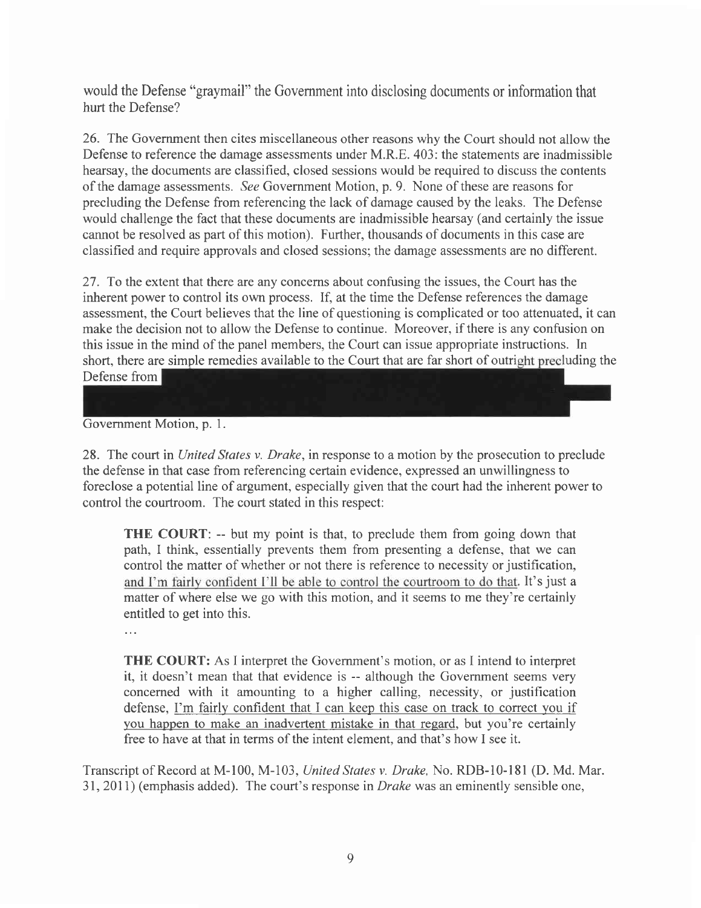would the Defense "graymail" the Government into disclosing documents or information that hurt the Defense?

26. The Government then cites miscellaneous other reasons why the Court should not allow the Defense to reference the damage assessments under M.R.E. 403: the statements are inadmissible hearsay, the documents are classified, closed sessions would be required to discuss the contents of the damage assessments. See Government Motion, p. 9. None of these are reasons for precluding the Defense from referencing the lack of damage caused by the leaks. The Defense would challenge the fact that these documents are inadmissible hearsay (and certainly the issue cannot be resolved as part of this motion). Further, thousands of documents in this case are classified and require approvals and closed sessions; the damage assessments are no different.

27. To the extent that there are any concerns about confusing the issues, the Court has the inherent power to control its own process. If, at the time the Defense references the damage assessment, the Court believes that the line of questioning is complicated or too attenuated, it can make the decision not to allow the Defense to continue. Moreover, if there is any confusion on this issue in the mind of the panel members, the Court can issue appropriate instructions. In short, there are simple remedies available to the Court that are far short of outright precluding the Defense from

Government Motion, p. l.

28. The court in United States v. Drake, in response to a motion by the prosecution to preclude the defense in that case from referencing certain evidence, expressed an unwillingness to foreclose a potential line of argument, especially given that the court had the inherent power to control the courtroom. The court stated in this respect:

**THE COURT:** -- but my point is that, to preclude them from going down that path, I think, essentially prevents them from presenting a defense, that we can control the matter of whether or not there is reference to necessity or justification, and I'm fairly confident I'll be able to control the courtroom to do that. It's just a matter of where else we go with this motion, and it seems to me they're certainly entitled to get into this.

 $\ddotsc$ 

THE COURT: As I interpret the Govemment's motion, or as I intend to interpret it, it doesn't mean that that evidence is -- although the Govemment seems very concerned with it amounting to a higher calling, necessity, or justification defense, I'm fairlv confident that I can keep this case on track to correct you if vou happen to make an inadvertent mistake in that regard, but you're certainly free to have at that in terms of the intent element, and that's how I see it.

Transcript of Record at M-I00, M-l03, United States v. Drake, No. RDB-10-l8l (D. Md. Mar. 31,2011) (emphasis added). The court's response in Drake was an eminently sensible one,